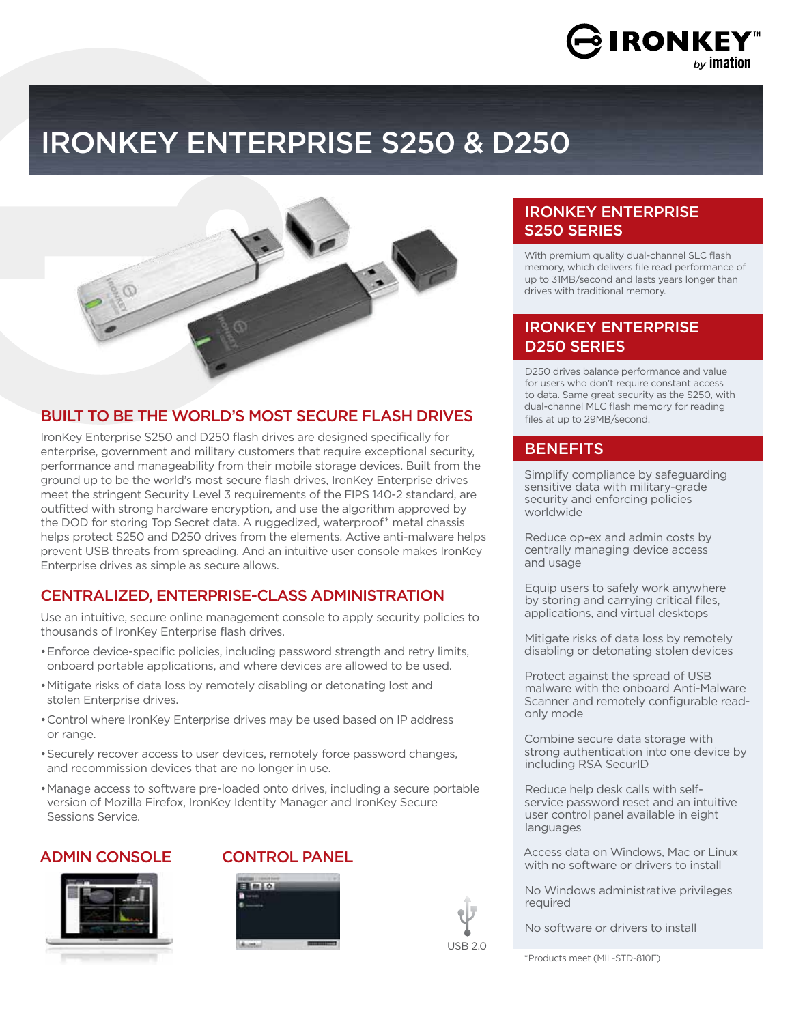# **IRONKEY**  $b\mathsf{v}$  imation

# IRONKEY ENTERPRISE S250 & D250



### BUILT TO BE THE WORLD'S MOST SECURE FLASH DRIVES

IronKey Enterprise S250 and D250 flash drives are designed specifically for enterprise, government and military customers that require exceptional security, performance and manageability from their mobile storage devices. Built from the ground up to be the world's most secure flash drives, IronKey Enterprise drives meet the stringent Security Level 3 requirements of the FIPS 140-2 standard, are outfitted with strong hardware encryption, and use the algorithm approved by the DOD for storing Top Secret data. A ruggedized, waterproof\* metal chassis helps protect S250 and D250 drives from the elements. Active anti-malware helps prevent USB threats from spreading. And an intuitive user console makes IronKey Enterprise drives as simple as secure allows.

#### CENTRALIZED, ENTERPRISE-CLASS ADMINISTRATION

Use an intuitive, secure online management console to apply security policies to thousands of IronKey Enterprise flash drives.

- •Enforce device-specific policies, including password strength and retry limits, onboard portable applications, and where devices are allowed to be used.
- •Mitigate risks of data loss by remotely disabling or detonating lost and stolen Enterprise drives.
- •Control where IronKey Enterprise drives may be used based on IP address or range.
- •Securely recover access to user devices, remotely force password changes, and recommission devices that are no longer in use.
- •Manage access to software pre-loaded onto drives, including a secure portable version of Mozilla Firefox, IronKey Identity Manager and IronKey Secure Sessions Service.

#### ADMIN CONSOLE







USB 2.0

# IRONKEY ENTERPRISE S250 SERIES

With premium quality dual-channel SLC flash memory, which delivers file read performance of up to 31MB/second and lasts years longer than drives with traditional memory.

# IRONKEY ENTERPRISE D250 SERIES

D250 drives balance performance and value for users who don't require constant access to data. Same great security as the S250, with dual-channel MLC flash memory for reading files at up to 29MB/second.

#### **BENEFITS**

Simplify compliance by safeguarding sensitive data with military-grade security and enforcing policies worldwide

Reduce op-ex and admin costs by centrally managing device access and usage

Equip users to safely work anywhere by storing and carrying critical files, applications, and virtual desktops

Mitigate risks of data loss by remotely disabling or detonating stolen devices

Protect against the spread of USB malware with the onboard Anti-Malware Scanner and remotely configurable readonly mode

Combine secure data storage with strong authentication into one device by including RSA SecurID

Reduce help desk calls with selfservice password reset and an intuitive user control panel available in eight languages

Access data on Windows, Mac or Linux with no software or drivers to install

No Windows administrative privileges required

No software or drivers to install

\*Products meet (MIL-STD-810F)